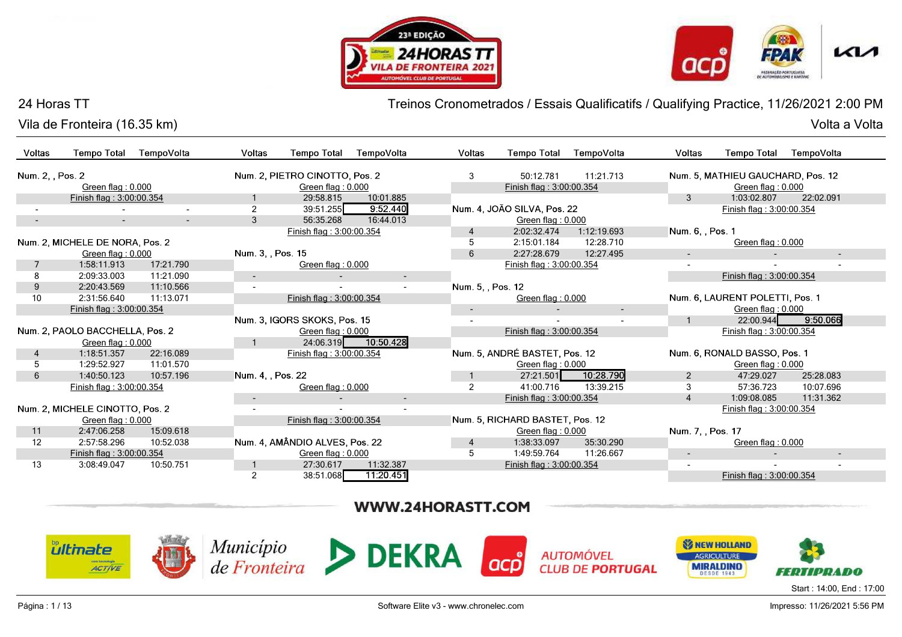



Vila de Fronteira (16.35 km)

Treinos Cronometrados / Essais Qualificatifs / Qualifying Practice, 11/26/2021 2:00 PM

| Voltas           | <b>Tempo Total</b>                                 | TempoVolta               | <b>Voltas</b>     | <b>Tempo Total</b>             | TempoVolta | <b>Voltas</b>                      | <b>Tempo Total</b>              | TempoVolta  | <b>Voltas</b>     | <b>Tempo Total</b>                | TempoVolta |
|------------------|----------------------------------------------------|--------------------------|-------------------|--------------------------------|------------|------------------------------------|---------------------------------|-------------|-------------------|-----------------------------------|------------|
| Num. 2, , Pos. 2 |                                                    |                          |                   | Num. 2, PIETRO CINOTTO, Pos. 2 |            | 3                                  | 50:12.781                       | 11:21.713   |                   | Num. 5, MATHIEU GAUCHARD, Pos. 12 |            |
|                  | Green flag: 0.000                                  |                          |                   | Green flag: 0.000              |            |                                    | Finish flag: 3:00:00.354        |             |                   | Green flag: 0.000                 |            |
|                  | Finish flag: 3:00:00.354                           |                          |                   | 29:58.815                      | 10:01.885  |                                    |                                 |             | 3                 | 1:03:02.807                       | 22:02.091  |
|                  |                                                    |                          | $\overline{2}$    | 39:51.255                      | 9:52.440   |                                    | Num. 4, JOÃO SILVA, Pos. 22     |             |                   | Finish flag: 3:00:00.354          |            |
|                  | $\sim$                                             | $\overline{\phantom{a}}$ | 3                 | 56:35.268                      | 16:44.013  |                                    | Green flag: 0.000               |             |                   |                                   |            |
|                  |                                                    |                          |                   | Finish flag: 3:00:00.354       |            |                                    | 2:02:32.474                     | 1:12:19.693 | Num. 6, , Pos. 1  |                                   |            |
|                  | Num. 2. MICHELE DE NORA, Pos. 2                    |                          |                   |                                |            |                                    | 2:15:01.184                     | 12:28.710   |                   | Green flag: 0.000                 |            |
|                  | Green flag: 0.000                                  |                          | Num. 3, , Pos. 15 |                                |            | 6                                  | 2:27:28.679                     | 12:27.495   | $\sim$            |                                   | $\sim$     |
|                  | 1:58:11.913                                        | 17:21.790                |                   | Green flag: 0.000              |            |                                    | Finish flag: 3:00:00.354        |             |                   |                                   |            |
|                  | 2:09:33.003                                        | 11:21.090                | $\blacksquare$    |                                | $\sim$     |                                    |                                 |             |                   | Finish flag: 3:00:00.354          |            |
| 9                | 2:20:43.569                                        | 11:10.566                |                   |                                |            | Num. 5, , Pos. 12                  |                                 |             |                   |                                   |            |
| 10               | 2:31:56.640                                        | 11:13.071                |                   | Finish flag: 3:00:00.354       |            |                                    | Green flag: 0.000               |             |                   | Num. 6. LAURENT POLETTI. Pos. 1   |            |
|                  | Finish flag: 3:00:00.354                           |                          |                   |                                |            | $\sim$                             |                                 | $\sim$      |                   | Green flag: 0.000                 |            |
|                  |                                                    |                          |                   | Num. 3. IGORS SKOKS, Pos. 15   |            |                                    |                                 |             | $\mathbf{1}$      | 22:00.944                         | 9:50.066   |
|                  | Num. 2, PAOLO BACCHELLA, Pos. 2                    |                          |                   | Green flag: 0.000              |            |                                    | Finish flag: 3:00:00.354        |             |                   | Finish flag: 3:00:00.354          |            |
|                  | Green flag: 0.000                                  |                          |                   | 24:06.319                      | 10:50.428  |                                    |                                 |             |                   |                                   |            |
| $\overline{4}$   | 1:18:51.357                                        | 22:16.089                |                   | Finish flag: 3:00:00.354       |            |                                    | Num. 5, ANDRÉ BASTET, Pos. 12   |             |                   | Num. 6, RONALD BASSO, Pos. 1      |            |
|                  | 1:29:52.927                                        | 11:01.570                |                   |                                |            |                                    | Green flag: 0.000               |             |                   | Green flag: 0.000                 |            |
| 6                | 1:40:50.123                                        | 10:57.196                | Num. 4, , Pos. 22 |                                |            |                                    | 27:21.501                       | 10:28.790   | 2                 | 47:29.027                         | 25:28.083  |
|                  | Finish flag: 3:00:00.354                           |                          |                   | Green flag: 0.000              |            | $\overline{2}$                     | 41:00.716                       | 13:39.215   | 3                 | 57:36.723                         | 10:07.696  |
|                  |                                                    |                          |                   |                                |            |                                    | Finish flag: 3:00:00.354        |             | $\overline{4}$    | 1:09:08.085                       | 11:31.362  |
|                  | Num. 2, MICHELE CINOTTO, Pos. 2                    |                          |                   |                                |            |                                    |                                 |             |                   | Finish flag: 3:00:00.354          |            |
|                  | Green flag: 0.000                                  |                          |                   | Finish flag: 3:00:00.354       |            |                                    | Num. 5, RICHARD BASTET, Pos. 12 |             |                   |                                   |            |
| 11               | 2:47:06.258                                        | 15:09.618                |                   |                                |            |                                    | Green flag: $0.000$             |             | Num. 7, , Pos. 17 |                                   |            |
| 12               | 2:57:58.296                                        | 10:52.038                |                   | Num. 4, AMÂNDIO ALVES, Pos. 22 |            | 4                                  | 1:38:33.097                     | 35:30.290   |                   | Green flag: 0.000                 |            |
|                  | Finish flag: 3:00:00.354                           |                          |                   | Green flag: 0.000              |            | 5                                  | 1:49:59.764                     | 11:26.667   | $\sim$            |                                   | $\sim$     |
| 13               | 10:50.751<br>11:32.387<br>3:08:49.047<br>27:30.617 |                          |                   |                                |            | Finish flag: 3:00:00.354<br>$\sim$ |                                 |             |                   |                                   |            |
|                  |                                                    |                          | 2                 | 38:51.068                      | 11:20.451  |                                    |                                 |             |                   | Finish flag: 3:00:00.354          |            |

# WWW.24HORASTT.COM













Start : 14:00, End : 17:00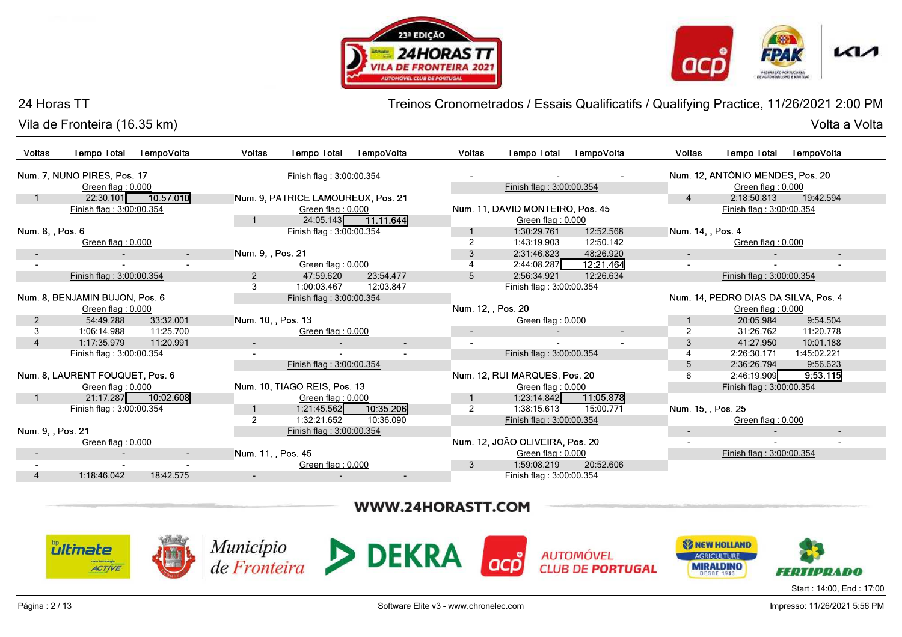



Vila de Fronteira (16.35 km)

Treinos Cronometrados / Essais Qualificatifs / Qualifying Practice, 11/26/2021 2:00 PM

| Voltas                   | <b>Tempo Total</b>              | TempoVolta | Voltas             | <b>Tempo Total</b>                 | TempoVolta               | Voltas             | <b>Tempo Total</b>               | TempoVolta | Voltas             | <b>Tempo Total</b>                   | TempoVolta  |
|--------------------------|---------------------------------|------------|--------------------|------------------------------------|--------------------------|--------------------|----------------------------------|------------|--------------------|--------------------------------------|-------------|
|                          | Num. 7, NUNO PIRES, Pos. 17     |            |                    | Finish flag: 3:00:00.354           |                          |                    |                                  |            |                    | Num. 12, ANTÓNIO MENDES, Pos. 20     |             |
|                          | Green flag: 0.000               |            |                    |                                    |                          |                    | Finish flag: 3:00:00.354         |            |                    | Green flag: 0.000                    |             |
|                          | 22:30.101                       | 10:57.010  |                    | Num. 9, PATRICE LAMOUREUX, Pos. 21 |                          |                    |                                  |            | $\overline{4}$     | 2:18:50.813                          | 19:42.594   |
|                          | Finish flag: 3:00:00.354        |            |                    | Green flag: 0.000                  |                          |                    | Num. 11, DAVID MONTEIRO, Pos. 45 |            |                    | Finish flag: 3:00:00.354             |             |
|                          |                                 |            |                    |                                    | 24:05.143 11:11.644      |                    | Green flag: 0.000                |            |                    |                                      |             |
| Num. 8, , Pos. 6         |                                 |            |                    | Finish flag: 3:00:00.354           |                          |                    | 1:30:29.761                      | 12:52.568  | Num. 14, , Pos. 4  |                                      |             |
|                          | Green flag: 0.000               |            |                    |                                    |                          |                    | 1:43:19.903                      | 12:50.142  |                    | Green flag: 0.000                    |             |
| $\overline{\phantom{a}}$ |                                 | $\sim$     | Num. 9, , Pos. 21  |                                    |                          | 3                  | 2:31:46.823                      | 48:26.920  | $\sim$             |                                      | $\sim$      |
|                          |                                 |            |                    | Green flag: 0.000                  |                          |                    | 2:44:08.287                      | 12:21.464  | $\sim$             |                                      |             |
|                          | Finish flag: 3:00:00.354        |            | $\overline{2}$     | 47:59.620                          | 23:54.477                | 5                  | 2:56:34.921                      | 12:26.634  |                    | Finish flag: 3:00:00.354             |             |
|                          |                                 |            | 3                  | 1:00:03.467                        | 12:03.847                |                    | Finish flag: 3:00:00.354         |            |                    |                                      |             |
|                          | Num. 8, BENJAMIN BUJON, Pos. 6  |            |                    | Finish flag: 3:00:00.354           |                          |                    |                                  |            |                    | Num. 14, PEDRO DIAS DA SILVA, Pos. 4 |             |
|                          | Green flag: 0.000               |            |                    |                                    |                          | Num. 12. . Pos. 20 |                                  |            |                    | Green flag: 0.000                    |             |
| $\overline{2}$           | 54:49.288                       | 33:32.001  | Num. 10, , Pos. 13 |                                    |                          |                    | Green flag: 0.000                |            |                    | 20:05.984                            | 9:54.504    |
| 3                        | 1:06:14.988                     | 11:25.700  |                    | Green flag: 0.000                  |                          |                    |                                  | $\sim$     | 2                  | 31:26.762                            | 11:20.778   |
| 4                        | 1:17:35.979                     | 11:20.991  |                    |                                    | $\overline{\phantom{a}}$ |                    |                                  |            | 3                  | 41:27.950                            | 10:01.188   |
|                          | Finish flag: 3:00:00.354        |            |                    |                                    |                          |                    | Finish flag: 3:00:00.354         |            |                    | 2:26:30.171                          | 1:45:02.221 |
|                          |                                 |            |                    | Finish flag: 3:00:00.354           |                          |                    |                                  |            | 5                  | 2:36:26.794                          | 9:56.623    |
|                          | Num. 8, LAURENT FOUQUET, Pos. 6 |            |                    |                                    |                          |                    | Num. 12, RUI MARQUES, Pos. 20    |            | 6                  | 2:46:19.909                          | 9:53.115    |
|                          | Green flag: 0.000               |            |                    | Num. 10, TIAGO REIS, Pos. 13       |                          |                    | Green flag: 0.000                |            |                    | Finish flag: 3:00:00.354             |             |
|                          | 21:17.287                       | 10:02.608  |                    | Green flag: $0.000$                |                          |                    | 1:23:14.842                      | 11:05.878  |                    |                                      |             |
|                          | Finish flag: 3:00:00.354        |            |                    | 1:21:45.562                        | 10:35.206                | 2                  | 1:38:15.613                      | 15:00.771  | Num. 15. . Pos. 25 |                                      |             |
|                          |                                 |            |                    | 1:32:21.652                        | 10:36.090                |                    | Finish flag: 3:00:00.354         |            |                    | Green flag: $0.000$                  |             |
| Num. 9, , Pos. 21        |                                 |            |                    | Finish flag: 3:00:00.354           |                          |                    |                                  |            | $\sim$             |                                      | $\sim$      |
|                          | Green flag: 0.000               |            |                    |                                    |                          |                    | Num. 12, JOÃO OLIVEIRA, Pos. 20  |            |                    |                                      |             |
|                          |                                 | $\sim$     | Num. 11, Pos. 45   |                                    |                          |                    | Green flag: 0.000                |            |                    | Finish flag: 3:00:00.354             |             |
|                          |                                 |            |                    | Green flag: 0.000                  |                          | 3                  | 1:59:08.219                      | 20:52.606  |                    |                                      |             |
|                          | 1:18:46.042                     | 18:42.575  | $\sim$             |                                    |                          |                    | Finish flag: 3:00:00.354         |            |                    |                                      |             |

# WWW.24HORASTT.COM

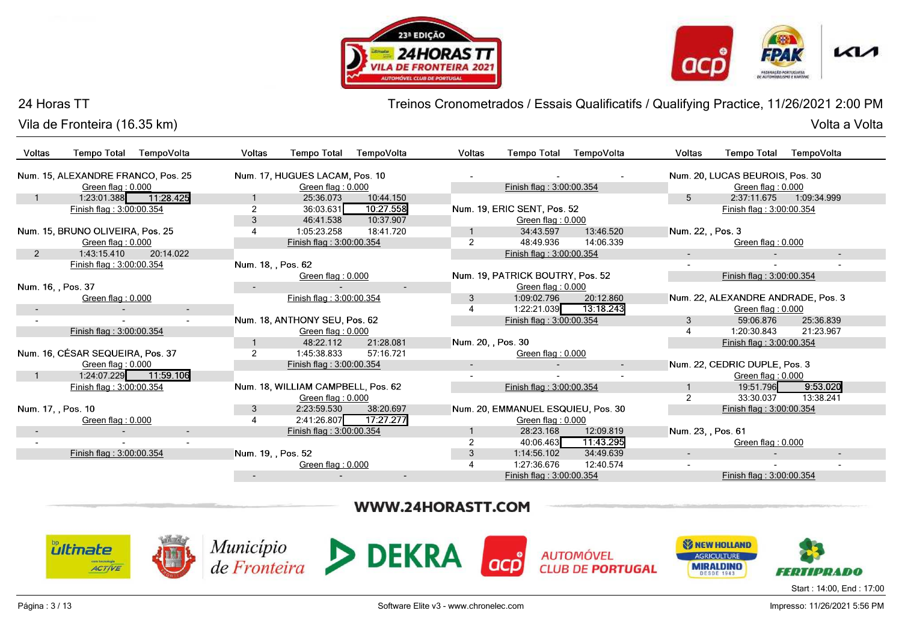



Vila de Fronteira (16.35 km)

Treinos Cronometrados / Essais Qualificatifs / Qualifying Practice, 11/26/2021 2:00 PM

| Voltas             | <b>Tempo Total</b>                 | TempoVolta | Voltas                   | <b>Tempo Total</b>                 | TempoVolta               | <b>Voltas</b>      | <b>Tempo Total</b>                 | TempoVolta | Voltas             | <b>Tempo Total</b>                 | TempoVolta  |
|--------------------|------------------------------------|------------|--------------------------|------------------------------------|--------------------------|--------------------|------------------------------------|------------|--------------------|------------------------------------|-------------|
|                    | Num. 15, ALEXANDRE FRANCO, Pos. 25 |            |                          | Num. 17, HUGUES LACAM, Pos. 10     |                          |                    |                                    |            |                    | Num. 20, LUCAS BEUROIS, Pos. 30    |             |
|                    | Green flag: 0.000                  |            |                          | Green flag: 0.000                  |                          |                    | Finish flag: 3:00:00.354           |            |                    | Green flag: 0.000                  |             |
|                    | 1:23:01.388                        | 11:28.425  |                          | 25:36.073                          | 10:44.150                |                    |                                    |            | 5                  | 2:37:11.675                        | 1:09:34.999 |
|                    | Finish flag: 3:00:00.354           |            | 2                        | 36:03.631                          | 10:27.558                |                    | Num. 19, ERIC SENT, Pos. 52        |            |                    | Finish flag: 3:00:00.354           |             |
|                    |                                    |            | 3                        | 46:41.538                          | 10:37.907                |                    | Green flag: 0.000                  |            |                    |                                    |             |
|                    | Num. 15, BRUNO OLIVEIRA, Pos. 25   |            | 4                        | 1:05:23.258                        | 18:41.720                |                    | 34:43.597                          | 13:46.520  | Num. 22. Pos. 3    |                                    |             |
|                    | Green flag: 0.000                  |            |                          | Finish flag: 3:00:00.354           |                          | $\overline{2}$     | 48:49.936                          | 14:06.339  |                    | Green flag: 0.000                  |             |
| $\overline{2}$     | 1:43:15.410                        | 20:14.022  |                          |                                    |                          |                    | Finish flag: 3:00:00.354           |            | $\sim$             |                                    | ٠           |
|                    | Finish flag: 3:00:00.354           |            | Num. 18, , Pos. 62       |                                    |                          |                    |                                    |            |                    |                                    |             |
|                    |                                    |            |                          | Green flag: 0.000                  |                          |                    | Num. 19, PATRICK BOUTRY, Pos. 52   |            |                    | Finish flag: 3:00:00.354           |             |
| Num. 16, , Pos. 37 |                                    |            | $\overline{\phantom{a}}$ |                                    | $\overline{\phantom{a}}$ |                    | Green flag: $0.000$                |            |                    |                                    |             |
|                    | Green flag: 0.000                  |            |                          | Finish flag: 3:00:00.354           |                          | 3                  | 1:09:02.796                        | 20:12.860  |                    | Num. 22, ALEXANDRE ANDRADE, Pos. 3 |             |
|                    |                                    | $\sim$     |                          |                                    |                          |                    | 1:22:21.039                        | 13:18.243  |                    | Green flag: 0.000                  |             |
|                    |                                    |            |                          | Num. 18, ANTHONY SEU, Pos. 62      |                          |                    | Finish flag: 3:00:00.354           |            | 3                  | 59:06.876                          | 25:36.839   |
|                    | Finish flag: 3:00:00.354           |            |                          | Green flag: 0.000                  |                          |                    |                                    |            | 4                  | 1:20:30.843                        | 21:23.967   |
|                    |                                    |            |                          | 48:22.112                          | 21:28.081                | Num. 20, , Pos. 30 |                                    |            |                    | Finish flag: 3:00:00.354           |             |
|                    | Num. 16, CÉSAR SEQUEIRA, Pos. 37   |            | $\overline{2}$           | 1:45:38.833                        | 57:16.721                |                    | Green flag: 0.000                  |            |                    |                                    |             |
|                    | Green flag: 0.000                  |            |                          | Finish flag: 3:00:00.354           |                          | $\sim$             |                                    |            |                    | Num. 22, CEDRIC DUPLE, Pos. 3      |             |
|                    | 1:24:07.229                        | 11:59.106  |                          |                                    |                          |                    |                                    |            |                    | Green flag: 0.000                  |             |
|                    | Finish flag: 3:00:00.354           |            |                          | Num. 18, WILLIAM CAMPBELL, Pos. 62 |                          |                    | Finish flag: 3:00:00.354           |            |                    | 19:51.796                          | 9:53.020    |
|                    |                                    |            |                          | Green flag: 0.000                  |                          |                    |                                    |            | $\overline{2}$     | 33:30.037                          | 13:38.241   |
| Num. 17, , Pos. 10 |                                    |            | 3                        | 2:23:59.530                        | 38:20.697                |                    | Num. 20. EMMANUEL ESQUIEU, Pos. 30 |            |                    | Finish flag: 3:00:00.354           |             |
|                    | Green flag: 0.000                  |            |                          | 2:41:26.807                        | 17:27.277                |                    | Green flag: 0.000                  |            |                    |                                    |             |
|                    |                                    |            |                          | Finish flag: 3:00:00.354           |                          |                    | 28:23.168                          | 12:09.819  | Num. 23, , Pos. 61 |                                    |             |
|                    |                                    |            |                          |                                    |                          |                    | 40:06.463                          | 11:43.295  |                    | Green flag: 0.000                  |             |
|                    | Finish flag: 3:00:00.354           |            | Num. 19, , Pos. 52       |                                    |                          | 3                  | 1:14:56.102                        | 34:49.639  | $\sim$             |                                    | $\sim$      |
|                    |                                    |            |                          | Green flag: 0.000                  |                          |                    | 1:27:36.676                        | 12:40.574  | $\overline{a}$     |                                    |             |
|                    |                                    |            | $\blacksquare$           |                                    |                          |                    | Finish flag: 3:00:00.354           |            |                    | Finish flag: 3:00:00.354           |             |

WWW.24HORASTT.COM

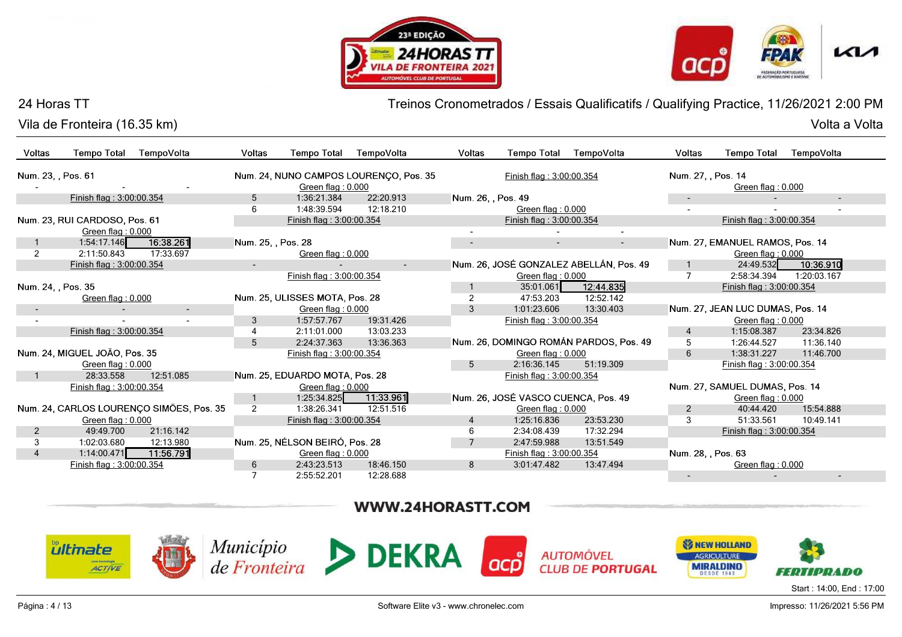



Vila de Fronteira (16.35 km)

Treinos Cronometrados / Essais Qualificatifs / Qualifying Practice, 11/26/2021 2:00 PM

| Voltas             | <b>Tempo Total</b>                             | TempoVolta                               | Voltas             | <b>Tempo Total</b>             | TempoVolta                                            | Voltas             | <b>Tempo Total</b>                  | TempoVolta                                  | Voltas             | <b>Tempo Total</b>                                              | TempoVolta               |
|--------------------|------------------------------------------------|------------------------------------------|--------------------|--------------------------------|-------------------------------------------------------|--------------------|-------------------------------------|---------------------------------------------|--------------------|-----------------------------------------------------------------|--------------------------|
| Num. 23, , Pos. 61 |                                                |                                          |                    | Green flag: 0.000              | Num. 24, NUNO CAMPOS LOURENÇO, Pos. 35                |                    | Finish flag: 3:00:00.354            |                                             | Num. 27, , Pos. 14 | Green flag: 0.000                                               |                          |
|                    | Finish flag: 3:00:00.354                       |                                          | 5                  | 1:36:21.384                    | 22:20.913                                             | Num. 26, , Pos. 49 |                                     |                                             | $\sim$             |                                                                 | $\overline{\phantom{a}}$ |
|                    |                                                |                                          | 6                  | 1:48:39.594                    | 12:18.210                                             |                    | Green flag: 0.000                   |                                             | $\sim$             |                                                                 |                          |
|                    | Num. 23, RUI CARDOSO, Pos. 61                  |                                          |                    | Finish flag: 3:00:00.354       |                                                       |                    | Finish flag: 3:00:00.354            |                                             |                    | Finish flag: 3:00:00.354                                        |                          |
|                    | Green flag: 0.000                              |                                          |                    |                                |                                                       |                    |                                     |                                             |                    |                                                                 |                          |
|                    | 1:54:17.146                                    | 16:38.261                                | Num. 25, , Pos. 28 |                                |                                                       |                    |                                     | $\sim$                                      |                    | Num. 27, EMANUEL RAMOS, Pos. 14                                 |                          |
| $\overline{2}$     | 2:11:50.843                                    | 17:33.697                                |                    | Green flag: 0.000              |                                                       |                    |                                     |                                             |                    | Green flag: 0.000                                               |                          |
|                    | Finish flag: 3:00:00.354                       |                                          |                    |                                | $\sim$                                                |                    |                                     | Num. 26, JOSÉ GONZALEZ ABELLÁN, Pos. 49     | $\mathbf{1}$       | 24:49.532                                                       | 10:36.910                |
|                    |                                                |                                          |                    | Finish flag: 3:00:00.354       |                                                       |                    | Green flag: 0.000                   |                                             | $\overline{7}$     | 2:58:34.394                                                     | 1:20:03.167              |
| Num. 24, , Pos. 35 |                                                |                                          |                    |                                |                                                       |                    | 35:01.061                           | 12:44.835                                   |                    | Finish flag: 3:00:00.354                                        |                          |
|                    | Green flag: 0.000                              |                                          |                    | Num. 25, ULISSES MOTA, Pos. 28 |                                                       | $\overline{2}$     | 47:53.203                           | 12:52.142                                   |                    |                                                                 |                          |
|                    |                                                |                                          |                    | Green flag: 0.000              |                                                       | 3                  | 1:01:23.606                         | 13:30.403                                   |                    | Num. 27, JEAN LUC DUMAS, Pos. 14                                |                          |
|                    |                                                |                                          | 3                  | 1:57:57.767                    | 19:31.426                                             |                    | Finish flag: 3:00:00.354            |                                             |                    | Green flag: 0.000                                               |                          |
|                    | Finish flag: 3:00:00.354                       |                                          | 4                  | 2:11:01.000                    | 13:03.233                                             |                    |                                     |                                             | 4                  | 1:15:08.387                                                     | 23:34.826                |
|                    |                                                |                                          | 5                  | 2:24:37.363                    | 13:36.363                                             |                    |                                     | Num. 26, DOMINGO ROMÁN PARDOS, Pos. 49      | 5                  | 1:26:44.527                                                     | 11:36.140                |
|                    | Num. 24, MIGUEL JOÃO, Pos. 35                  |                                          |                    | Finish flag: 3:00:00.354       |                                                       |                    | Green flag: 0.000                   |                                             | 6                  | 1:38:31.227                                                     | 11:46.700                |
|                    | Green flag: 0.000                              |                                          |                    |                                |                                                       | 5                  | 2:16:36.145                         | 51:19.309                                   |                    | Finish flag: 3:00:00.354                                        |                          |
| $\mathbf{1}$       | 28:33.558                                      | 12:51.085                                |                    | Num. 25, EDUARDO MOTA, Pos. 28 |                                                       |                    | Finish flag: 3:00:00.354            |                                             |                    |                                                                 |                          |
|                    | Finish flag: 3:00:00.354                       |                                          |                    | Green flag: 0.000              |                                                       |                    |                                     |                                             |                    | Num. 27, SAMUEL DUMAS, Pos. 14                                  |                          |
|                    |                                                |                                          | $\mathbf{1}$       | 1:25:34.825                    | 11:33.961                                             |                    | Num. 26, JOSÉ VASCO CUENCA, Pos. 49 |                                             |                    | Green flag: 0.000                                               |                          |
|                    |                                                | Num. 24, CARLOS LOURENÇO SIMÕES, Pos. 35 | $\overline{2}$     | 1:38:26.341                    | 12:51.516                                             |                    | Green flag: 0.000                   |                                             | $\overline{2}$     | 40:44.420                                                       | 15:54.888                |
|                    | Green flag: 0.000                              |                                          |                    | Finish flag: 3:00:00.354       |                                                       | $\overline{4}$     | 1:25:16.836                         | 23:53.230                                   | 3                  | 51:33.561                                                       | 10:49.141                |
| $\overline{2}$     | 49:49.700                                      | 21:16.142                                |                    |                                |                                                       | 6                  | 2:34:08.439                         | 17:32.294                                   |                    | Finish flag: 3:00:00.354                                        |                          |
| 3                  | 1:02:03.680                                    | 12:13.980                                |                    | Num. 25, NÉLSON BEIRÓ, Pos. 28 |                                                       | $7^{\circ}$        | 2:47:59.988                         | 13:51.549                                   |                    |                                                                 |                          |
| $\overline{4}$     | 1:14:00.471                                    | 11:56.791                                |                    | Green flag: 0.000              |                                                       |                    | Finish flag: 3:00:00.354            |                                             | Num. 28, , Pos. 63 |                                                                 |                          |
|                    | Finish flag: 3:00:00.354                       |                                          | 6                  | 2:43:23.513                    | 18:46.150                                             | 8                  | 3:01:47.482                         | 13:47.494                                   |                    | Green flag: 0.000                                               |                          |
|                    |                                                |                                          | 7                  | 2:55:52.201                    | 12:28.688                                             |                    |                                     |                                             |                    |                                                                 |                          |
|                    |                                                |                                          |                    |                                | WWW.24HORASTT.COM                                     |                    |                                     |                                             |                    |                                                                 |                          |
|                    | <b><i><u>ultinate</u></i></b><br><b>ACTIVE</b> |                                          |                    |                                | $\text{Municipio}_{\text{de Fronteira}}$ <b>DEKRA</b> |                    |                                     | <b>AUTOMÓVEL</b><br><b>CLUB DE PORTUGAL</b> |                    | <b>SI NEW HOLLAND</b><br><b>AGRICULTURE</b><br><b>MIRALDINO</b> | H HITIDIRADO             |
|                    |                                                |                                          |                    |                                |                                                       |                    |                                     |                                             |                    |                                                                 | Start: 14:00, End: 17:00 |

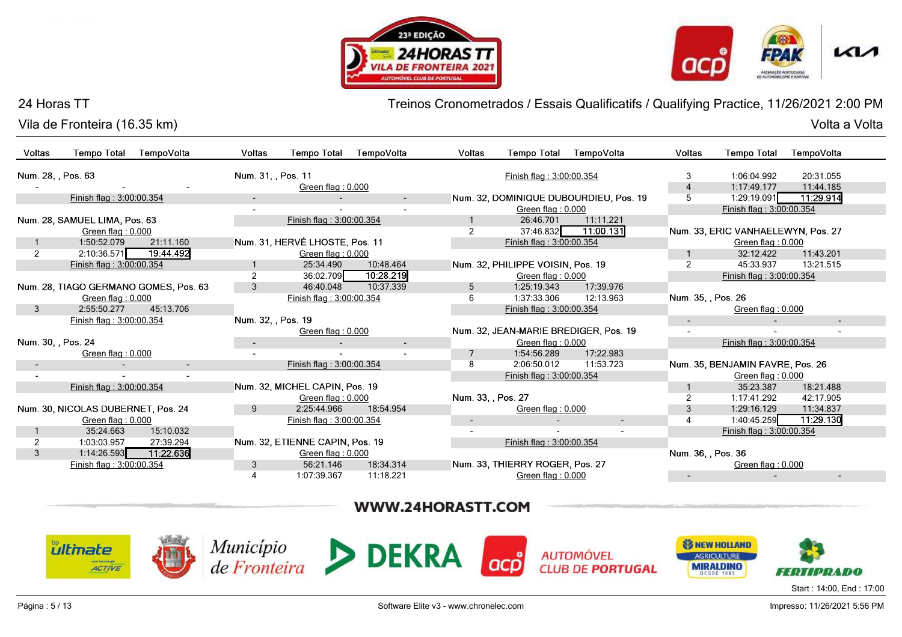![](_page_4_Picture_1.jpeg)

![](_page_4_Picture_2.jpeg)

Vila de Fronteira (16.35 km)

Treinos Cronometrados / Essais Qualificatifs / Qualifying Practice, 11/26/2021 2:00 PM

| Voltas             | <b>Tempo Total</b>                             | TempoVolta                            | Voltas                   | <b>Tempo Total</b>              | TempoVolta               | Voltas             | <b>Tempo Total</b>                    | TempoVolta                                  | Voltas             | <b>Tempo Total</b>                                              | TempoVolta               |
|--------------------|------------------------------------------------|---------------------------------------|--------------------------|---------------------------------|--------------------------|--------------------|---------------------------------------|---------------------------------------------|--------------------|-----------------------------------------------------------------|--------------------------|
| Num. 28, , Pos. 63 |                                                |                                       | Num. 31, , Pos. 11       |                                 |                          |                    | Finish flag: 3:00:00.354              |                                             | 3                  | 1:06:04.992                                                     | 20:31.055                |
|                    |                                                |                                       |                          | Green flag: 0.000               |                          |                    |                                       |                                             | $\overline{4}$     | 1:17:49.177                                                     | 11:44.185                |
|                    | Finish flag: 3:00:00.354                       |                                       | $\overline{\phantom{a}}$ |                                 | $\sim$                   |                    |                                       | Num. 32, DOMINIQUE DUBOURDIEU, Pos. 19      | 5                  | 1:29:19.091                                                     | 11:29.914                |
|                    |                                                |                                       |                          |                                 | $\sim$                   |                    | Green flag: 0.000                     |                                             |                    | Finish flag: 3:00:00.354                                        |                          |
|                    | Num. 28, SAMUEL LIMA, Pos. 63                  |                                       |                          | Finish flag: 3:00:00.354        |                          |                    | 26:46.701                             | 11:11.221                                   |                    |                                                                 |                          |
|                    | Green flag: 0.000                              |                                       |                          |                                 |                          | $\overline{2}$     | 37:46.832                             | 11:00.131                                   |                    | Num. 33, ERIC VANHAELEWYN, Pos. 27                              |                          |
|                    | 1:50:52.079                                    | 21:11.160                             |                          | Num. 31, HERVÉ LHOSTE, Pos. 11  |                          |                    | Finish flag: 3:00:00.354              |                                             |                    | Green flag: 0.000                                               |                          |
| $\overline{2}$     | 2:10:36.571                                    | 19:44.492                             |                          | Green flag: 0.000               |                          |                    |                                       |                                             | $\overline{1}$     | 32:12.422                                                       | 11:43.201                |
|                    | Finish flag: 3:00:00.354                       |                                       | $\mathbf{1}$             | 25:34.490                       | 10:48.464                |                    | Num. 32, PHILIPPE VOISIN, Pos. 19     |                                             | $\overline{2}$     | 45:33.937                                                       | 13:21.515                |
|                    |                                                |                                       | $\overline{2}$           | 36:02.709                       | 10:28.219                |                    | Green flag: 0.000                     |                                             |                    | Finish flag: 3:00:00.354                                        |                          |
|                    |                                                | Num. 28, TIAGO GERMANO GOMES, Pos. 63 | 3                        | 46:40.048                       | 10:37.339                | 5                  | 1:25:19.343                           | 17:39.976                                   |                    |                                                                 |                          |
|                    | Green flag: 0.000                              |                                       |                          | Finish flag: 3:00:00.354        |                          | 6                  | 1:37:33.306                           | 12:13.963                                   | Num. 35, , Pos. 26 |                                                                 |                          |
| 3                  | 2:55:50.277                                    | 45:13.706                             |                          |                                 |                          |                    | Finish flag: 3:00:00.354              |                                             |                    | Green flag: 0.000                                               |                          |
|                    | Finish flag: 3:00:00.354                       |                                       | Num. 32, , Pos. 19       |                                 |                          |                    |                                       |                                             |                    |                                                                 |                          |
|                    |                                                |                                       |                          | Green flag: 0.000               |                          |                    | Num. 32, JEAN-MARIE BREDIGER, Pos. 19 |                                             | $\sim$             |                                                                 |                          |
| Num. 30, , Pos. 24 |                                                |                                       |                          |                                 | $\overline{\phantom{a}}$ |                    | Green flag: 0.000                     |                                             |                    | Finish flag: 3:00:00.354                                        |                          |
|                    | Green flag: 0.000                              |                                       |                          |                                 | $\mathbf{r}$             | $\overline{7}$     | 1:54:56.289                           | 17:22.983                                   |                    |                                                                 |                          |
|                    |                                                | $\sim$                                |                          | Finish flag: 3:00:00.354        |                          | 8                  | 2:06:50.012                           | 11:53.723                                   |                    | Num. 35, BENJAMIN FAVRE, Pos. 26                                |                          |
|                    |                                                |                                       |                          |                                 |                          |                    | Finish flag: 3:00:00.354              |                                             |                    | Green flag: 0.000                                               |                          |
|                    | Finish flag: 3:00:00.354                       |                                       |                          | Num. 32, MICHEL CAPIN, Pos. 19  |                          |                    |                                       |                                             | $\mathbf{1}$       | 35:23.387                                                       | 18:21.488                |
|                    |                                                |                                       |                          | Green flag: 0.000               |                          | Num. 33, , Pos. 27 |                                       |                                             | 2                  | 1:17:41.292                                                     | 42:17.905                |
|                    | Num. 30, NICOLAS DUBERNET, Pos. 24             |                                       | 9                        | 2:25:44.966                     | 18:54.954                |                    | Green flag: 0.000                     |                                             | $\sqrt{3}$         | 1:29:16.129                                                     | 11:34.837                |
|                    | Green flag: 0.000                              |                                       |                          | Finish flag: 3:00:00.354        |                          |                    |                                       |                                             | $\overline{4}$     | 1:40:45.259                                                     | 11:29.130                |
|                    | 35:24.663                                      | 15:10.032                             |                          |                                 |                          |                    |                                       |                                             |                    | Finish flag: 3:00:00.354                                        |                          |
| $\overline{2}$     | 1:03:03.957                                    | 27:39.294                             |                          | Num. 32, ETIENNE CAPIN, Pos. 19 |                          |                    | Finish flag: 3:00:00.354              |                                             |                    |                                                                 |                          |
| 3                  | 1:14:26.593                                    | 11:22.636                             |                          | Green flag: 0.000               |                          |                    |                                       |                                             | Num. 36, , Pos. 36 |                                                                 |                          |
|                    | Finish flag: 3:00:00.354                       |                                       | 3                        | 56:21.146                       | 18:34.314                |                    | Num. 33, THIERRY ROGER, Pos. 27       |                                             |                    | Green flag: 0.000                                               |                          |
|                    |                                                |                                       | 4                        | 1:07:39.367                     | 11:18.221                |                    | Green flag: 0.000                     |                                             |                    |                                                                 |                          |
|                    |                                                |                                       |                          |                                 | WWW.24HORASTT.COM        |                    |                                       |                                             |                    |                                                                 |                          |
|                    | <b><i><u>ultinate</u></i></b><br><b>ACTIVE</b> |                                       |                          |                                 | Município DEKRA          |                    | $\bullet$                             | <b>AUTOMÓVEL</b><br><b>CLUB DE PORTUGAL</b> |                    | <b>SI NEW HOLLAND</b><br><b>AGRICULTURE</b><br><b>MIRALDINO</b> |                          |
|                    |                                                |                                       |                          |                                 |                          |                    |                                       |                                             |                    |                                                                 | Start: 14:00, End: 17:00 |

![](_page_4_Picture_9.jpeg)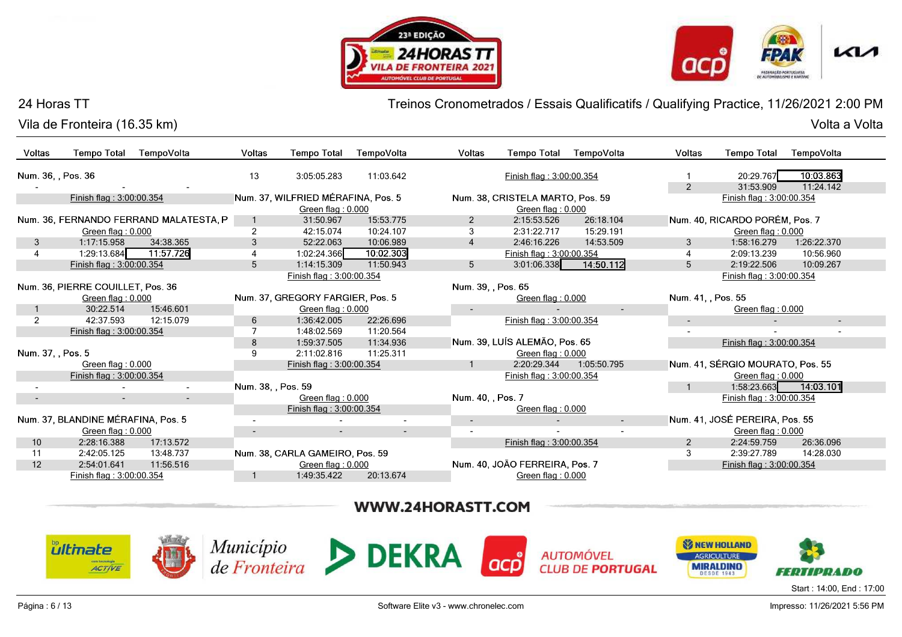![](_page_5_Picture_1.jpeg)

![](_page_5_Picture_2.jpeg)

Vila de Fronteira (16.35 km)

Treinos Cronometrados / Essais Qualificatifs / Qualifying Practice, 11/26/2021 2:00 PM

Volta a Volta Volta a Volta

| Voltas            | <b>Tempo Total</b>                 | TempoVolta                             | Voltas             | <b>Tempo Total</b>                 | TempoVolta                                            | Voltas             | <b>Tempo Total</b>               | TempoVolta              | Voltas             | <b>Tempo Total</b>               | TempoVolta               |
|-------------------|------------------------------------|----------------------------------------|--------------------|------------------------------------|-------------------------------------------------------|--------------------|----------------------------------|-------------------------|--------------------|----------------------------------|--------------------------|
|                   | Num. 36, , Pos. 36                 |                                        | 13                 | 3:05:05.283                        | 11:03.642                                             |                    | Finish flag: 3:00:00.354         |                         | $\mathbf{1}$       | 20:29.767                        | 10:03.863                |
|                   |                                    |                                        |                    |                                    |                                                       |                    |                                  |                         | $\overline{2}$     | 31:53.909                        | 11:24.142                |
|                   | Finish flag: 3:00:00.354           |                                        |                    | Num. 37, WILFRIED MÉRAFINA, Pos. 5 |                                                       |                    | Num. 38, CRISTELA MARTO, Pos. 59 |                         |                    | Finish flag: 3:00:00.354         |                          |
|                   |                                    |                                        |                    | Green flag: 0.000                  |                                                       |                    | Green flag: 0.000                |                         |                    |                                  |                          |
|                   |                                    | Num. 36, FERNANDO FERRAND MALATESTA, P | $\mathbf{1}$       | 31:50.967                          | 15:53.775                                             | $\overline{2}$     | 2:15:53.526                      | 26:18.104               |                    | Num. 40, RICARDO PORÉM, Pos. 7   |                          |
|                   | Green flag: 0.000                  |                                        | $\overline{c}$     | 42:15.074                          | 10:24.107                                             | 3                  | 2:31:22.717                      | 15:29.191               |                    | Green flag: 0.000                |                          |
| 3                 | 1:17:15.958                        | 34:38.365                              | 3                  | 52:22.063                          | 10:06.989                                             | $\overline{4}$     | 2:46:16.226                      | 14:53.509               | 3                  | 1:58:16.279                      | 1:26:22.370              |
| 4                 | 1:29:13.684                        | 11:57.726                              | 4                  | 1:02:24.366                        | 10:02.303                                             |                    | Finish flag: 3:00:00.354         |                         | $\overline{4}$     | 2:09:13.239                      | 10:56.960                |
|                   | Finish flag: 3:00:00.354           |                                        | 5                  | 1:14:15.309                        | 11:50.943                                             | 5                  | 3:01:06.338                      | 14:50.112               | 5                  | 2:19:22.506                      | 10:09.267                |
|                   |                                    |                                        |                    | Finish flag: 3:00:00.354           |                                                       |                    |                                  |                         |                    | Finish flag: 3:00:00.354         |                          |
|                   | Num. 36, PIERRE COUILLET, Pos. 36  |                                        |                    |                                    |                                                       | Num. 39, , Pos. 65 |                                  |                         |                    |                                  |                          |
|                   | Green flag: 0.000                  |                                        |                    | Num. 37, GREGORY FARGIER, Pos. 5   |                                                       |                    | Green flag: 0.000                |                         | Num. 41, , Pos. 55 |                                  |                          |
|                   | 30:22.514                          | 15:46.601                              |                    | Green flag: 0.000                  |                                                       |                    |                                  |                         |                    | Green flag: 0.000                |                          |
| $\overline{2}$    | 42:37.593                          | 12:15.079                              | 6                  | 1:36:42.005                        | 22:26.696                                             |                    | Finish flag: 3:00:00.354         |                         | $\sim$             |                                  |                          |
|                   | Finish flag: 3:00:00.354           |                                        | 7                  | 1:48:02.569                        | 11:20.564                                             |                    |                                  |                         | $\sim$             |                                  |                          |
|                   |                                    |                                        | 8                  | 1:59:37.505                        | 11:34.936                                             |                    | Num. 39, LUÍS ALEMÃO, Pos. 65    |                         |                    | Finish flag: 3:00:00.354         |                          |
| Num. 37, , Pos. 5 |                                    |                                        | 9                  | 2:11:02.816                        | 11:25.311                                             |                    | Green flag: 0.000                |                         |                    |                                  |                          |
|                   | Green flag: 0.000                  |                                        |                    | Finish flag: 3:00:00.354           |                                                       |                    | 2:20:29.344                      | 1:05:50.795             |                    | Num. 41, SÉRGIO MOURATO, Pos. 55 |                          |
|                   | Finish flag: 3:00:00.354           |                                        |                    |                                    |                                                       |                    | Finish flag: 3:00:00.354         |                         |                    | Green flag: 0.000                |                          |
|                   |                                    |                                        | Num. 38, , Pos. 59 |                                    |                                                       |                    |                                  |                         |                    | 1:58:23.663                      | 14:03.101                |
| $\sim$            | $\overline{a}$                     | $\overline{\phantom{a}}$               |                    | Green flag: 0.000                  |                                                       | Num. 40, , Pos. 7  |                                  |                         |                    | Finish flag: 3:00:00.354         |                          |
|                   |                                    |                                        |                    | Finish flag: 3:00:00.354           |                                                       |                    | Green flag: 0.000                |                         |                    |                                  |                          |
|                   | Num. 37, BLANDINE MÉRAFINA, Pos. 5 |                                        | $\sim$             |                                    | $\blacksquare$                                        | $\sim$             |                                  | $\sim$                  |                    | Num. 41, JOSÉ PEREIRA, Pos. 55   |                          |
|                   | Green flag: 0.000                  |                                        | $\sim$             |                                    | $\sim$                                                |                    |                                  |                         |                    | Green flag: $0.000$              |                          |
| 10 <sup>1</sup>   | 2:28:16.388                        | 17:13.572                              |                    |                                    |                                                       |                    | Finish flag: 3:00:00.354         |                         | $\overline{2}$     | 2:24:59.759                      | 26:36.096                |
| 11                | 2:42:05.125                        | 13:48.737                              |                    | Num. 38, CARLA GAMEIRO, Pos. 59    |                                                       |                    |                                  |                         | 3                  | 2:39:27.789                      | 14:28.030                |
| 12                | 2:54:01.641                        | 11:56.516                              |                    | Green flag: 0.000                  |                                                       |                    | Num. 40, JOÃO FERREIRA, Pos. 7   |                         |                    | Finish flag: 3:00:00.354         |                          |
|                   | Finish flag: 3:00:00.354           |                                        | $\mathbf 1$        | 1:49:35.422                        | 20:13.674                                             |                    | Green flag: 0.000                |                         |                    |                                  |                          |
|                   |                                    |                                        |                    |                                    |                                                       |                    |                                  |                         |                    |                                  |                          |
|                   |                                    |                                        |                    |                                    | WWW.24HORASTT.COM                                     |                    |                                  |                         |                    |                                  |                          |
|                   |                                    |                                        |                    |                                    |                                                       |                    |                                  |                         |                    |                                  |                          |
|                   | <b><i><u>ultinate</u></i></b>      |                                        |                    |                                    | $\text{Municipio}_{\text{de Fronteira}}$ <b>DEKRA</b> |                    |                                  |                         |                    | <b>SZ NEW HOLLAND</b>            |                          |
|                   |                                    |                                        |                    |                                    |                                                       |                    |                                  | <b>AUTOMÓVEL</b>        |                    | <b>AGRICULTURE</b>               |                          |
|                   | <b>ACTIVE</b>                      |                                        |                    |                                    |                                                       |                    |                                  | <b>CLUB DE PORTUGAL</b> |                    | <b>MIRALDINO</b>                 | ни примо                 |
|                   |                                    |                                        |                    |                                    |                                                       |                    |                                  |                         |                    |                                  | Start: 14:00, End: 17:00 |

![](_page_5_Picture_9.jpeg)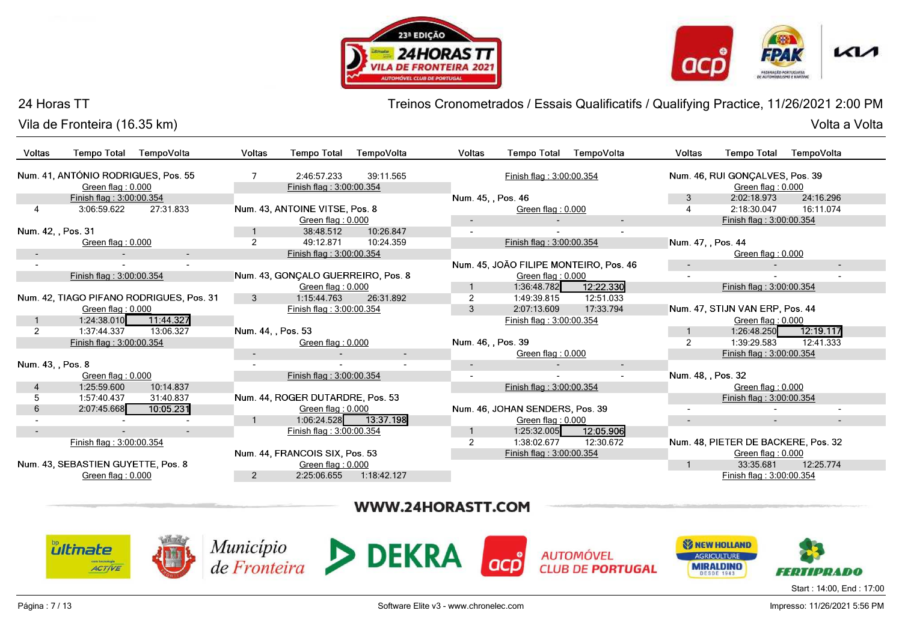![](_page_6_Picture_1.jpeg)

![](_page_6_Picture_2.jpeg)

Vila de Fronteira (16.35 km)

Treinos Cronometrados / Essais Qualificatifs / Qualifying Practice, 11/26/2021 2:00 PM

| Voltas             | <b>Tempo Total</b>                                       | TempoVolta                               | Voltas             | <b>Tempo Total</b>                      | TempoVolta  | Voltas             | <b>Tempo Total</b>              | TempoVolta                             | <b>Voltas</b>      | <b>Tempo Total</b>                                   | TempoVolta |
|--------------------|----------------------------------------------------------|------------------------------------------|--------------------|-----------------------------------------|-------------|--------------------|---------------------------------|----------------------------------------|--------------------|------------------------------------------------------|------------|
|                    | Num. 41, ANTÓNIO RODRIGUES, Pos. 55<br>Green flag: 0.000 |                                          |                    | 2:46:57.233<br>Finish flag: 3:00:00.354 | 39:11.565   |                    | Finish flag: 3:00:00.354        |                                        |                    | Num. 46, RUI GONÇALVES, Pos. 39<br>Green flag: 0.000 |            |
|                    | Finish flag: 3:00:00.354                                 |                                          |                    |                                         |             | Num. 45., Pos. 46  |                                 |                                        | 3                  | 2:02:18.973                                          | 24:16.296  |
|                    | 3:06:59.622                                              | 27:31.833                                |                    | Num. 43, ANTOINE VITSE, Pos. 8          |             |                    | Green flag: 0.000               |                                        |                    | 2:18:30.047                                          | 16:11.074  |
|                    |                                                          |                                          |                    | Green flag: 0.000                       |             |                    |                                 |                                        |                    | Finish flag: 3:00:00.354                             |            |
| Num. 42. . Pos. 31 |                                                          |                                          |                    | 38:48.512                               | 10:26.847   |                    |                                 |                                        |                    |                                                      |            |
|                    | Green flag: 0.000                                        |                                          | $\overline{2}$     | 49:12.871                               | 10:24.359   |                    | Finish flag: 3:00:00.354        |                                        | Num. 47, , Pos. 44 |                                                      |            |
|                    |                                                          | $\sim$                                   |                    | Finish flag: 3:00:00.354                |             |                    |                                 |                                        |                    | Green flag: 0.000                                    |            |
|                    |                                                          |                                          |                    |                                         |             |                    |                                 | Num. 45, JOÃO FILIPE MONTEIRO, Pos. 46 | $\sim$             |                                                      | $\sim$     |
|                    | Finish flag: 3:00:00.354                                 |                                          |                    | Num. 43, GONÇALO GUERREIRO, Pos. 8      |             |                    | Green flag: $0.000$             |                                        |                    |                                                      |            |
|                    |                                                          |                                          |                    | Green flag: 0.000                       |             |                    | 1:36:48.782                     | 12:22.330                              |                    | Finish flag: 3:00:00.354                             |            |
|                    |                                                          | Num. 42, TIAGO PIFANO RODRIGUES, Pos. 31 | 3                  | 1:15:44.763                             | 26:31.892   |                    | 1:49:39.815                     | 12:51.033                              |                    |                                                      |            |
|                    | Green flag: 0.000                                        |                                          |                    | Finish flag: 3:00:00.354                |             | 3                  | 2:07:13.609                     | 17:33.794                              |                    | Num. 47, STIJN VAN ERP, Pos. 44                      |            |
|                    | 1:24:38.010                                              | 11:44.327                                |                    |                                         |             |                    | Finish flag: 3:00:00.354        |                                        |                    | Green flag: 0.000                                    |            |
| 2                  | 1:37:44.337                                              | 13:06.327                                | Num. 44, , Pos. 53 |                                         |             |                    |                                 |                                        |                    | 1:26:48.250                                          | 12:19.117  |
|                    | Finish flag: 3:00:00.354                                 |                                          |                    | Green flag: 0.000                       |             | Num. 46, , Pos. 39 |                                 |                                        | $\overline{2}$     | 1:39:29.583                                          | 12:41.333  |
|                    |                                                          |                                          | $\sim$             |                                         | $\sim$      |                    | Green flag: 0.000               |                                        |                    | Finish flag: 3:00:00.354                             |            |
| Num. 43. , Pos. 8  |                                                          |                                          |                    |                                         |             | $\sim$             |                                 |                                        |                    |                                                      |            |
|                    | Green flag: 0.000                                        |                                          |                    | Finish flag: 3:00:00.354                |             |                    |                                 |                                        | Num. 48, , Pos. 32 |                                                      |            |
|                    | 1:25:59.600                                              | 10:14.837                                |                    |                                         |             |                    | Finish flag: 3:00:00.354        |                                        |                    | Green flag: 0.000                                    |            |
| 5                  | 1:57:40.437                                              | 31:40.837                                |                    | Num. 44, ROGER DUTARDRE, Pos. 53        |             |                    |                                 |                                        |                    | Finish flag: 3:00:00.354                             |            |
| 6                  | 2:07:45.668                                              | 10:05.231                                |                    | Green flag: $0.000$                     |             |                    | Num. 46, JOHAN SENDERS, Pos. 39 |                                        | $\sim$             |                                                      |            |
|                    |                                                          |                                          |                    | 1:06:24.528                             | 13:37.198   |                    | Green flag: $0.000$             |                                        | ٠                  |                                                      |            |
|                    |                                                          |                                          |                    | Finish flag: 3:00:00.354                |             |                    | 1:25:32.005                     | 12:05.906                              |                    |                                                      |            |
|                    | Finish flag: 3:00:00.354                                 |                                          |                    |                                         |             |                    | 1:38:02.677                     | 12:30.672                              |                    | Num. 48, PIETER DE BACKERE, Pos. 32                  |            |
|                    |                                                          |                                          |                    | Num. 44, FRANCOIS SIX, Pos. 53          |             |                    | Finish flag: 3:00:00.354        |                                        |                    | Green flag: 0.000                                    |            |
|                    | Num. 43, SEBASTIEN GUYETTE, Pos. 8                       |                                          |                    | Green flag: 0.000                       |             |                    |                                 |                                        |                    | 33:35.681                                            | 12:25.774  |
|                    | Green flag: $0.000$                                      |                                          | $\overline{2}$     | 2:25:06.655                             | 1:18:42.127 |                    |                                 |                                        |                    | Finish flag: 3:00:00.354                             |            |

# WWW.24HORASTT.COM

![](_page_6_Picture_9.jpeg)

![](_page_6_Picture_10.jpeg)

![](_page_6_Picture_11.jpeg)

![](_page_6_Picture_12.jpeg)

**AUTOMÓVEL CLUB DE PORTUGAL** 

![](_page_6_Picture_14.jpeg)

Start : 14:00, End : 17:00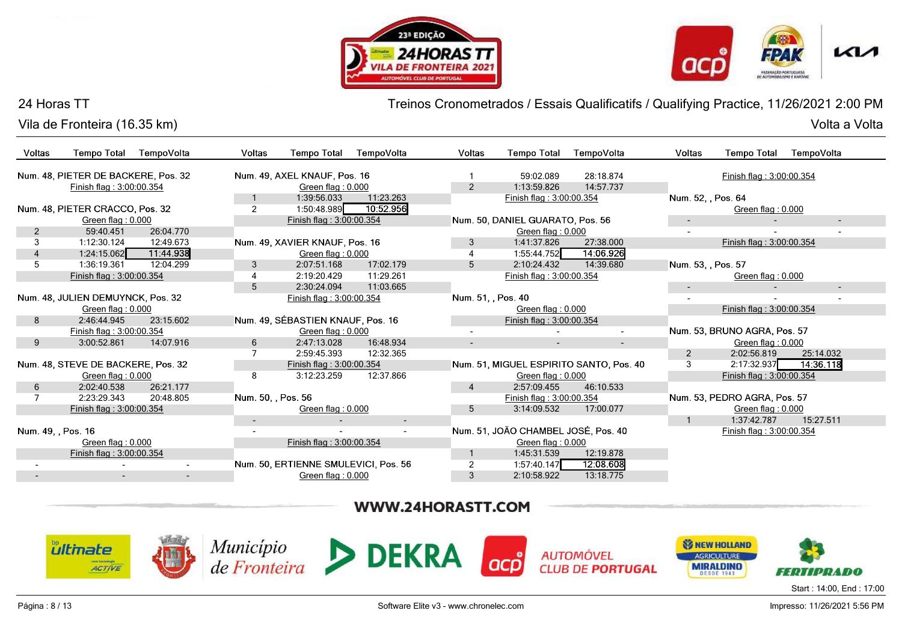![](_page_7_Picture_1.jpeg)

![](_page_7_Picture_2.jpeg)

Volta a Volta

#### 24 Horas TT

Vila de Fronteira (16.35 km)Volta a Volta

Treinos Cronometrados / Essais Qualificatifs / Qualifying Practice, 11/26/2021 2:00 PM

| Voltas             | <b>Tempo Total</b>                  | TempoVolta               | <b>Voltas</b>      | <b>Tempo Total</b>                   | TempoVolta | <b>Voltas</b>    | <b>Tempo Total</b>                  | TempoVolta                              | Voltas             | <b>Tempo Total</b>           | TempoVolta |
|--------------------|-------------------------------------|--------------------------|--------------------|--------------------------------------|------------|------------------|-------------------------------------|-----------------------------------------|--------------------|------------------------------|------------|
|                    | Num. 48, PIETER DE BACKERE, Pos. 32 |                          |                    | Num. 49, AXEL KNAUF, Pos. 16         |            |                  | 59:02.089                           | 28:18.874                               |                    | Finish flag: 3:00:00.354     |            |
|                    | Finish flag: 3:00:00.354            |                          |                    | Green flag: 0.000                    |            | $\overline{2}$   | 1:13:59.826                         | 14:57.737                               |                    |                              |            |
|                    |                                     |                          | $\mathbf{1}$       | 1:39:56.033                          | 11:23.263  |                  | Finish flag: 3:00:00.354            |                                         | Num. 52, , Pos. 64 |                              |            |
|                    | Num. 48, PIETER CRACCO, Pos. 32     |                          | $\overline{2}$     | 1:50:48.989                          | 10:52.956  |                  |                                     |                                         |                    | Green flag: 0.000            |            |
|                    | Green flag: 0.000                   |                          |                    | Finish flag: 3:00:00.354             |            |                  | Num. 50, DANIEL GUARATO, Pos. 56    |                                         |                    |                              |            |
| 2                  | 59:40.451                           | 26:04.770                |                    |                                      |            |                  | Green flag: 0.000                   |                                         |                    |                              |            |
| 3                  | 1:12:30.124                         | 12:49.673                |                    | Num. 49, XAVIER KNAUF, Pos. 16       |            | 3                | 1:41:37.826                         | 27:38.000                               |                    | Finish flag: 3:00:00.354     |            |
|                    | 1:24:15.062                         | 11:44.938                |                    | Green flag: 0.000                    |            |                  | 1:55:44.752                         | 14:06.926                               |                    |                              |            |
| 5                  | 1:36:19.361                         | 12:04.299                | 3                  | 2:07:51.168                          | 17:02.179  | 5                | 2:10:24.432                         | 14:39.680                               | Num. 53, , Pos. 57 |                              |            |
|                    | Finish flag: 3:00:00.354            |                          | 4                  | 2:19:20.429                          | 11:29.261  |                  | Finish flag: 3:00:00.354            |                                         |                    | Green flag: 0.000            |            |
|                    |                                     |                          | $\overline{5}$     | 2:30:24.094                          | 11:03.665  |                  |                                     |                                         |                    |                              | $\sim$     |
|                    | Num. 48, JULIEN DEMUYNCK, Pos. 32   |                          |                    | Finish flag: 3:00:00.354             |            | Num. 51. Pos. 40 |                                     |                                         |                    |                              |            |
|                    | Green flag: 0.000                   |                          |                    |                                      |            |                  | Green flag: 0.000                   |                                         |                    | Finish flag: 3:00:00.354     |            |
| 8                  | 2:46:44.945                         | 23:15.602                |                    | Num. 49, SÉBASTIEN KNAUF, Pos. 16    |            |                  | Finish flag: 3:00:00.354            |                                         |                    |                              |            |
|                    | Finish flag: 3:00:00.354            |                          |                    | Green flag: 0.000                    |            |                  |                                     |                                         |                    | Num. 53, BRUNO AGRA, Pos. 57 |            |
| 9                  | 3:00:52.861                         | 14:07.916                | 6                  | 2:47:13.028                          | 16:48.934  |                  |                                     |                                         |                    | Green flag: 0.000            |            |
|                    |                                     |                          |                    | 2:59:45.393                          | 12:32.365  |                  |                                     |                                         | 2                  | 2:02:56.819                  | 25:14.032  |
|                    | Num. 48, STEVE DE BACKERE, Pos. 32  |                          |                    | Finish flag: 3:00:00.354             |            |                  |                                     | Num. 51, MIGUEL ESPIRITO SANTO, Pos. 40 | 3                  | 2:17:32.937                  | 14:36.118  |
|                    | Green flag: 0.000                   |                          | 8                  | 3:12:23.259                          | 12:37.866  |                  | Green flag: 0.000                   |                                         |                    | Finish flag: 3:00:00.354     |            |
| 6                  | 2:02:40.538                         | 26:21.177                |                    |                                      |            | 4                | 2:57:09.455                         | 46:10.533                               |                    |                              |            |
|                    | 2:23:29.343                         | 20:48.805                | Num. 50, , Pos. 56 |                                      |            |                  | Finish flag: 3:00:00.354            |                                         |                    | Num. 53, PEDRO AGRA, Pos. 57 |            |
|                    | Finish flag: 3:00:00.354            |                          |                    | Green flag: 0.000                    |            | 5                | 3:14:09.532                         | 17:00.077                               |                    | Green flag: 0.000            |            |
|                    |                                     |                          | $\sim$             |                                      | $\sim$     |                  |                                     |                                         |                    | 1:37:42.787                  | 15:27.511  |
| Num. 49. , Pos. 16 |                                     |                          |                    |                                      | $\sim$     |                  | Num. 51, JOÃO CHAMBEL JOSÉ, Pos. 40 |                                         |                    | Finish flag: 3:00:00.354     |            |
|                    | Green flag: 0.000                   |                          |                    | Finish flag: 3:00:00.354             |            |                  | Green flag: 0.000                   |                                         |                    |                              |            |
|                    | Finish flag: 3:00:00.354            |                          |                    |                                      |            |                  | 1:45:31.539                         | 12:19.878                               |                    |                              |            |
|                    |                                     | $\sim$                   |                    | Num. 50, ERTIENNE SMULEVICI, Pos. 56 |            |                  | 1:57:40.147                         | 12:08.608                               |                    |                              |            |
|                    | $\sim$                              | $\overline{\phantom{a}}$ |                    | Green flag: 0.000                    |            | 3                | 2:10:58.922                         | 13:18.775                               |                    |                              |            |

# WWW.24HORASTT.COM

![](_page_7_Picture_8.jpeg)

![](_page_7_Picture_9.jpeg)

![](_page_7_Picture_10.jpeg)

![](_page_7_Picture_11.jpeg)

![](_page_7_Picture_12.jpeg)

![](_page_7_Picture_13.jpeg)

Start : 14:00, End : 17:00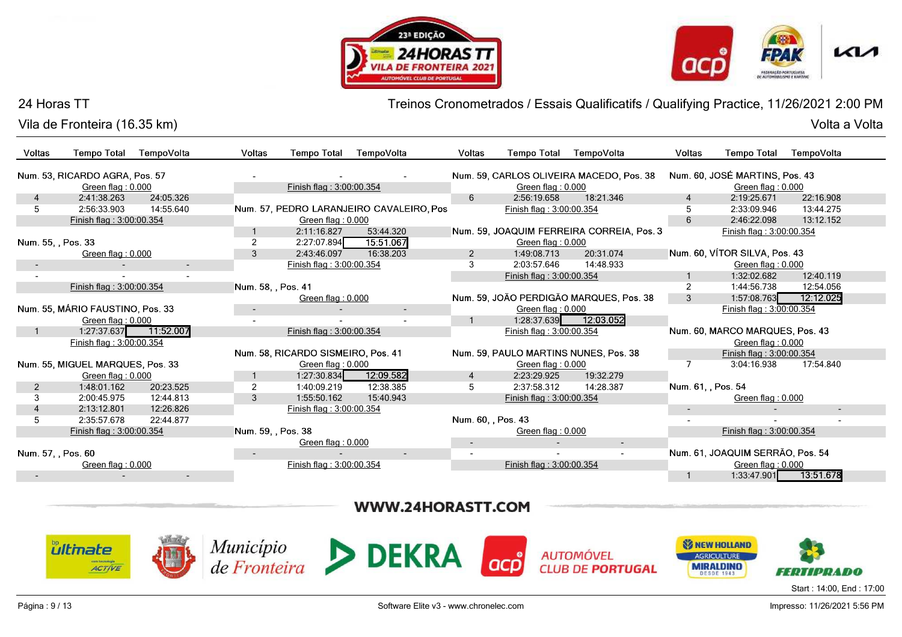![](_page_8_Picture_1.jpeg)

![](_page_8_Picture_2.jpeg)

Vila de Fronteira (16.35 km)

Treinos Cronometrados / Essais Qualificatifs / Qualifying Practice, 11/26/2021 2:00 PM

| Voltas             | <b>Tempo Total</b>               | TempoVolta | <b>Voltas</b>      | <b>Tempo Total</b>                 | TempoVolta                               | Voltas             | <b>Tempo Total</b>       | TempoVolta                                | <b>Voltas</b>      | <b>Tempo Total</b>               | TempoVolta |
|--------------------|----------------------------------|------------|--------------------|------------------------------------|------------------------------------------|--------------------|--------------------------|-------------------------------------------|--------------------|----------------------------------|------------|
|                    | Num. 53, RICARDO AGRA, Pos. 57   |            |                    |                                    |                                          |                    |                          | Num. 59, CARLOS OLIVEIRA MACEDO, Pos. 38  |                    | Num. 60, JOSÉ MARTINS, Pos. 43   |            |
|                    | Green flag: $0.000$              |            |                    | Finish flag: 3:00:00.354           |                                          |                    | Green flag: $0.000$      |                                           |                    | Green flag: $0.000$              |            |
| $\overline{4}$     | 2:41:38.263                      | 24:05.326  |                    |                                    |                                          | 6                  | 2:56:19.658              | 18:21.346                                 | $\overline{4}$     | 2:19:25.671                      | 22:16.908  |
|                    | 2:56:33.903                      | 14:55.640  |                    |                                    | Num. 57, PEDRO LARANJEIRO CAVALEIRO, Pos |                    | Finish flag: 3:00:00.354 |                                           |                    | 2:33:09.946                      | 13:44.275  |
|                    | Finish flag: 3:00:00.354         |            |                    | Green flag: 0.000                  |                                          |                    |                          |                                           | 6                  | 2:46:22.098                      | 13:12.152  |
|                    |                                  |            |                    | 2:11:16.827                        | 53:44.320                                |                    |                          | Num. 59, JOAQUIM FERREIRA CORREIA, Pos. 3 |                    | Finish flag: 3:00:00.354         |            |
| Num. 55, , Pos. 33 |                                  |            | $\overline{2}$     | 2:27:07.894                        | 15:51.067                                |                    | Green flag: 0.000        |                                           |                    |                                  |            |
|                    | Green flag: 0.000                |            | 3                  | 2:43:46.097                        | 16:38.203                                | 2                  | 1:49:08.713              | 20:31.074                                 |                    | Num. 60, VÍTOR SILVA, Pos. 43    |            |
|                    |                                  | $\sim$     |                    | Finish flag: 3:00:00.354           |                                          | 3                  | 2:03:57.646              | 14:48.933                                 |                    | Green flag: 0.000                |            |
|                    |                                  |            |                    |                                    |                                          |                    | Finish flag: 3:00:00.354 |                                           |                    | 1:32:02.682                      | 12:40.119  |
|                    | Finish flag: 3:00:00.354         |            | Num. 58, , Pos. 41 |                                    |                                          |                    |                          |                                           | 2                  | 1:44:56.738                      | 12:54.056  |
|                    |                                  |            |                    | Green flag: $0.000$                |                                          |                    |                          | Num. 59, JOÃO PERDIGÃO MARQUES, Pos. 38   | 3                  | 1:57:08.763                      | 12:12.025  |
|                    | Num. 55, MÁRIO FAUSTINO, Pos. 33 |            | $\sim$             |                                    | $\sim$                                   |                    | Green flag: 0.000        |                                           |                    | Finish flag: 3:00:00.354         |            |
|                    | Green flag: 0.000                |            |                    |                                    | $\sim$                                   |                    | 1:28:37.639              | 12:03.052                                 |                    |                                  |            |
|                    | 1:27:37.637 11:52.007            |            |                    | Finish flag: 3:00:00.354           |                                          |                    | Finish flag: 3:00:00.354 |                                           |                    | Num. 60, MARCO MARQUES, Pos. 43  |            |
|                    | Finish flag: 3:00:00.354         |            |                    |                                    |                                          |                    |                          |                                           |                    | Green flag: 0.000                |            |
|                    |                                  |            |                    | Num. 58, RICARDO SISMEIRO, Pos. 41 |                                          |                    |                          | Num. 59, PAULO MARTINS NUNES, Pos. 38     |                    | Finish flag: 3:00:00.354         |            |
|                    | Num. 55, MIGUEL MARQUES, Pos. 33 |            |                    | Green flag: 0.000                  |                                          |                    | Green flag: 0.000        |                                           | $\overline{7}$     | 3:04:16.938                      | 17:54.840  |
|                    | Green flag: 0.000                |            |                    | 1:27:30.834                        | 12:09.582                                | $\overline{4}$     | 2:23:29.925              | 19:32.279                                 |                    |                                  |            |
|                    | 1:48:01.162                      | 20:23.525  | 2                  | 1:40:09.219                        | 12:38.385                                | 5                  | 2:37:58.312              | 14:28.387                                 | Num. 61, , Pos. 54 |                                  |            |
| 3                  | 2:00:45.975                      | 12:44.813  | 3                  | 1:55:50.162                        | 15:40.943                                |                    | Finish flag: 3:00:00.354 |                                           |                    | Green flag: 0.000                |            |
| 4                  | 2:13:12.801                      | 12:26.826  |                    | Finish flag: 3:00:00.354           |                                          |                    |                          |                                           | $\sim$             |                                  | $\sim$     |
| 5                  | 2:35:57.678                      | 22:44.877  |                    |                                    |                                          | Num. 60, , Pos. 43 |                          |                                           |                    |                                  |            |
|                    | Finish flag: 3:00:00.354         |            | Num. 59, , Pos. 38 |                                    |                                          |                    | Green flag: 0.000        |                                           |                    | Finish flag: 3:00:00.354         |            |
|                    |                                  |            |                    | Green flag: 0.000                  |                                          | $\sim$             |                          |                                           |                    |                                  |            |
|                    | Num. 57. . Pos. 60               |            |                    |                                    | ۰.                                       |                    |                          |                                           |                    | Num. 61, JOAQUIM SERRÃO, Pos. 54 |            |
|                    | Green flag: 0.000                |            |                    | Finish flag: 3:00:00.354           |                                          |                    | Finish flag: 3:00:00.354 |                                           |                    | Green flag: $0.000$              |            |
|                    |                                  | $\sim$     |                    |                                    |                                          |                    |                          |                                           |                    | 1:33:47.901                      | 13:51.678  |
|                    |                                  |            |                    |                                    |                                          |                    |                          |                                           |                    |                                  |            |

# WWW.24HORASTT.COM

![](_page_8_Picture_8.jpeg)

Página : 9 / 13

Software Elite v3 - www.chronelec.com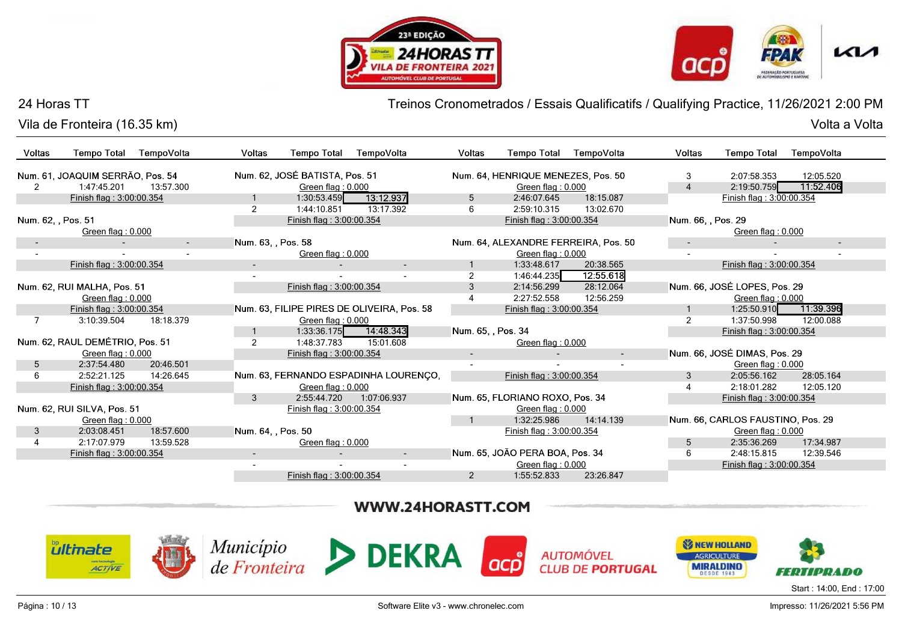![](_page_9_Picture_1.jpeg)

![](_page_9_Picture_2.jpeg)

Volta a Volta

#### 24 Horas TT

Vila de Fronteira (16.35 km)Volta a Volta

Treinos Cronometrados / Essais Qualificatifs / Qualifying Practice, 11/26/2021 2:00 PM

| Voltas             | <b>Tempo Total</b>               | TempoVolta | <b>Voltas</b>            | <b>Tempo Total</b>             | TempoVolta                                 | Voltas             | Tempo Total                        | TempoVolta                           | Voltas             | <b>Tempo Total</b>                | TempoVolta               |
|--------------------|----------------------------------|------------|--------------------------|--------------------------------|--------------------------------------------|--------------------|------------------------------------|--------------------------------------|--------------------|-----------------------------------|--------------------------|
|                    | Num. 61, JOAQUIM SERRÃO, Pos. 54 |            |                          | Num. 62, JOSÉ BATISTA, Pos. 51 |                                            |                    | Num. 64, HENRIQUE MENEZES, Pos. 50 |                                      | 3                  | 2:07:58.353                       | 12:05.520                |
|                    | 1:47:45.201                      | 13:57.300  |                          | Green flag: 0.000              |                                            |                    | Green flag: 0.000                  |                                      |                    | 2:19:50.759                       | 11:52.406                |
|                    | Finish flag: 3:00:00.354         |            |                          | 1:30:53.459                    | 13:12.937                                  | 5                  | 2:46:07.645                        | 18:15.087                            |                    | Finish flag: 3:00:00.354          |                          |
|                    |                                  |            | 2                        | 1:44:10.851                    | 13:17.392                                  | 6                  | 2:59:10.315                        | 13:02.670                            |                    |                                   |                          |
| Num. 62, , Pos. 51 |                                  |            |                          | Finish flag: 3:00:00.354       |                                            |                    | Finish flag: 3:00:00.354           |                                      | Num. 66, , Pos. 29 |                                   |                          |
|                    | Green flag: 0.000                |            |                          |                                |                                            |                    |                                    |                                      |                    | Green flag: 0.000                 |                          |
|                    |                                  | $\sim$     | Num. 63, , Pos. 58       |                                |                                            |                    |                                    | Num. 64, ALEXANDRE FERREIRA, Pos. 50 | $\sim$             |                                   | $\overline{\phantom{a}}$ |
|                    |                                  |            |                          | Green flag: 0.000              |                                            |                    | Green flag: 0.000                  |                                      |                    |                                   |                          |
|                    | Finish flag: 3:00:00.354         |            | $\sim$                   |                                | $\sim$                                     |                    | 1:33:48.617                        | 20:38.565                            |                    | Finish flag: 3:00:00.354          |                          |
|                    |                                  |            |                          |                                |                                            | $\mathfrak{p}$     | 1:46:44.235                        | 12:55.618                            |                    |                                   |                          |
|                    | Num. 62, RUI MALHA, Pos. 51      |            |                          | Finish flag: 3:00:00.354       |                                            | 3                  | 2:14:56.299                        | 28:12.064                            |                    | Num. 66, JOSÉ LOPES, Pos. 29      |                          |
|                    | Green flag: $0.000$              |            |                          |                                |                                            |                    | 2:27:52.558                        | 12:56.259                            |                    | Green flag: 0.000                 |                          |
|                    | Finish flag: 3:00:00.354         |            |                          |                                | Num. 63, FILIPE PIRES DE OLIVEIRA, Pos. 58 |                    | Finish flag: 3:00:00.354           |                                      |                    | 1:25:50.910                       | 11:39.396                |
|                    | 3:10:39.504                      | 18:18.379  |                          | Green flag: 0.000              |                                            |                    |                                    |                                      | $\overline{2}$     | 1:37:50.998                       | 12:00.088                |
|                    |                                  |            |                          | 1:33:36.175                    | 14:48.343                                  | Num. 65, , Pos. 34 |                                    |                                      |                    | Finish flag: 3:00:00.354          |                          |
|                    | Num. 62, RAUL DEMÉTRIO, Pos. 51  |            | 2                        | 1:48:37.783                    | 15:01.608                                  |                    | Green flag: 0.000                  |                                      |                    |                                   |                          |
|                    | Green flag: 0.000                |            |                          | Finish flag: 3:00:00.354       |                                            |                    |                                    |                                      |                    | Num. 66, JOSÉ DIMAS, Pos. 29      |                          |
| 5                  | 2:37:54.480                      | 20:46.501  |                          |                                |                                            |                    |                                    |                                      |                    | Green flag: 0.000                 |                          |
| 6                  | 2:52:21.125                      | 14:26.645  |                          |                                | Num. 63, FERNANDO ESPADINHA LOURENÇO,      |                    | Finish flag: 3:00:00.354           |                                      | 3                  | 2:05:56.162                       | 28:05.164                |
|                    | Finish flag: 3:00:00.354         |            |                          | Green flag: 0.000              |                                            |                    |                                    |                                      | $\overline{4}$     | 2:18:01.282                       | 12:05.120                |
|                    |                                  |            | 3                        | 2:55:44.720                    | 1:07:06.937                                |                    | Num. 65, FLORIANO ROXO, Pos. 34    |                                      |                    | Finish flag: 3:00:00.354          |                          |
|                    | Num. 62, RUI SILVA, Pos. 51      |            |                          | Finish flag: 3:00:00.354       |                                            |                    | Green flag: 0.000                  |                                      |                    |                                   |                          |
|                    | Green flag: 0.000                |            |                          |                                |                                            |                    | 1:32:25.986                        | 14:14.139                            |                    | Num. 66, CARLOS FAUSTINO, Pos. 29 |                          |
| 3                  | 2:03:08.451                      | 18:57.600  | Num. 64. . Pos. 50       |                                |                                            |                    | Finish flag: 3:00:00.354           |                                      |                    | Green flag: 0.000                 |                          |
| 4                  | 2:17:07.979                      | 13:59.528  |                          | Green flag: 0.000              |                                            |                    |                                    |                                      | 5                  | 2:35:36.269                       | 17:34.987                |
|                    | Finish flag: 3:00:00.354         |            | $\overline{\phantom{a}}$ |                                | $\overline{\phantom{a}}$                   |                    | Num. 65, JOÃO PERA BOA, Pos. 34    |                                      | 6                  | 2:48:15.815                       | 12:39.546                |
|                    |                                  |            |                          |                                | $\overline{\phantom{a}}$                   |                    | Green flag: 0.000                  |                                      |                    | Finish flag: 3:00:00.354          |                          |
|                    |                                  |            |                          | Finish flag: 3:00:00.354       |                                            | $\overline{2}$     | 1:55:52.833                        | 23:26.847                            |                    |                                   |                          |

# WWW.24HORASTT.COM

![](_page_9_Picture_8.jpeg)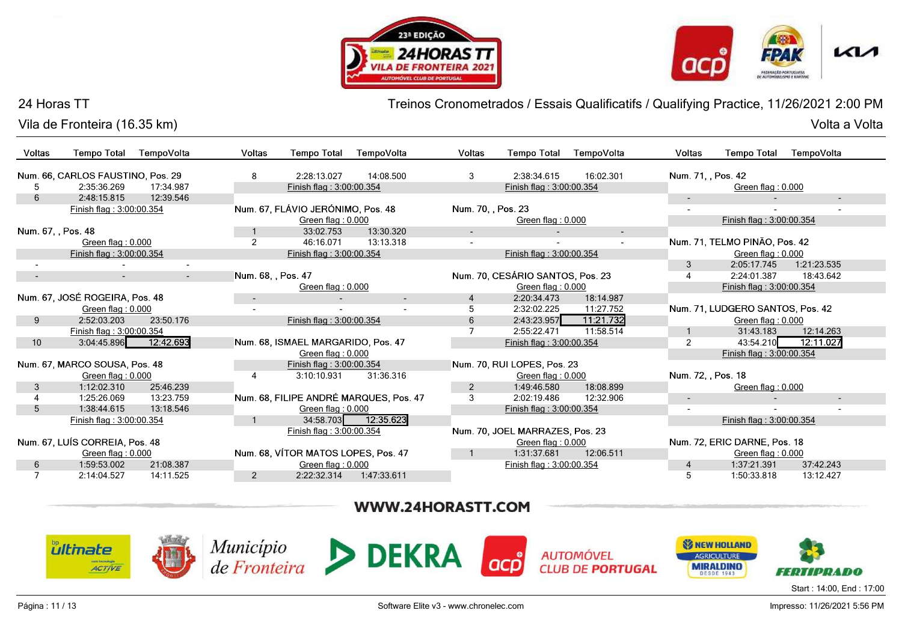![](_page_10_Picture_1.jpeg)

![](_page_10_Picture_2.jpeg)

Vila de Fronteira (16.35 km)

Treinos Cronometrados / Essais Qualificatifs / Qualifying Practice, 11/26/2021 2:00 PM

| Voltas             | <b>Tempo Total</b>                | TempoVolta | Voltas             | <b>Tempo Total</b>                  | TempoVolta                             | Voltas             | <b>Tempo Total</b>               | TempoVolta               | <b>Voltas</b>            | <b>Tempo Total</b>               | TempoVolta  |
|--------------------|-----------------------------------|------------|--------------------|-------------------------------------|----------------------------------------|--------------------|----------------------------------|--------------------------|--------------------------|----------------------------------|-------------|
|                    | Num. 66, CARLOS FAUSTINO, Pos. 29 |            | 8                  | 2:28:13.027                         | 14:08.500                              | 3                  | 2:38:34.615                      | 16:02.301                | Num. 71, Pos. 42         |                                  |             |
|                    | 2:35:36.269                       | 17:34.987  |                    | Finish flag: 3:00:00.354            |                                        |                    | Finish flag: 3:00:00.354         |                          |                          | Green flag: 0.000                |             |
| 6                  | 2:48:15.815                       | 12:39.546  |                    |                                     |                                        |                    |                                  |                          | $\sim$                   |                                  | ٠           |
|                    | Finish flag: 3:00:00.354          |            |                    | Num. 67, FLÁVIO JERÓNIMO, Pos. 48   |                                        | Num. 70, , Pos. 23 |                                  |                          | $\overline{\phantom{a}}$ |                                  |             |
|                    |                                   |            |                    | Green flag: 0.000                   |                                        |                    | Green flag: 0.000                |                          |                          | Finish flag: 3:00:00.354         |             |
| Num. 67, , Pos. 48 |                                   |            |                    | 33:02.753                           | 13:30.320                              | $\sim$             |                                  | $\overline{\phantom{a}}$ |                          |                                  |             |
|                    | Green flag: 0.000                 |            | $\overline{2}$     | 46:16.071                           | 13:13.318                              |                    |                                  |                          |                          | Num. 71, TELMO PINÃO, Pos. 42    |             |
|                    | Finish flag: 3:00:00.354          |            |                    | Finish flag: 3:00:00.354            |                                        |                    | Finish flag: 3:00:00.354         |                          |                          | Green flag: 0.000                |             |
|                    |                                   |            |                    |                                     |                                        |                    |                                  |                          | 3                        | 2:05:17.745                      | 1:21:23.535 |
| $\sim$             | $\sim$                            | $\sim$     | Num. 68, , Pos. 47 |                                     |                                        |                    | Num. 70, CESÁRIO SANTOS, Pos. 23 |                          |                          | 2:24:01.387                      | 18:43.642   |
|                    |                                   |            |                    | Green flag: 0.000                   |                                        |                    | Green flag: 0.000                |                          |                          | Finish flag: 3:00:00.354         |             |
|                    | Num. 67, JOSÉ ROGEIRA, Pos. 48    |            | $\sim$             |                                     | $\sim$                                 | 4                  | 2:20:34.473                      | 18:14.987                |                          |                                  |             |
|                    | Green flag: 0.000                 |            |                    |                                     |                                        | 5                  | 2:32:02.225                      | 11:27.752                |                          | Num. 71, LUDGERO SANTOS, Pos. 42 |             |
| 9                  | 2:52:03.203                       | 23:50.176  |                    | Finish flag: 3:00:00.354            |                                        | 6                  | 2:43:23.957                      | 11:21.732                |                          | Green flag: 0.000                |             |
|                    | Finish flag: 3:00:00.354          |            |                    |                                     |                                        |                    | 2:55:22.471                      | 11:58.514                |                          | 31:43.183                        | 12:14.263   |
| 10 <sup>1</sup>    | 3:04:45.896                       | 12:42.693  |                    | Num. 68, ISMAEL MARGARIDO, Pos. 47  |                                        |                    | Finish flag: 3:00:00.354         |                          | 2                        | 43:54.210                        | 12:11.027   |
|                    |                                   |            |                    | Green flag: 0.000                   |                                        |                    |                                  |                          |                          | Finish flag: 3:00:00.354         |             |
|                    | Num. 67, MARCO SOUSA, Pos. 48     |            |                    | Finish flag: 3:00:00.354            |                                        |                    | Num. 70, RUI LOPES, Pos. 23      |                          |                          |                                  |             |
|                    | Green flag: 0.000                 |            | 4                  | 3:10:10.931                         | 31:36.316                              |                    | Green flag: 0.000                |                          | Num. 72, , Pos. 18       |                                  |             |
| 3                  | 1:12:02.310                       | 25:46.239  |                    |                                     |                                        | $\overline{2}$     | 1:49:46.580                      | 18:08.899                |                          | Green flag: 0.000                |             |
|                    | 1:25:26.069                       | 13:23.759  |                    |                                     | Num. 68, FILIPE ANDRÉ MARQUES, Pos. 47 | 3                  | 2:02:19.486                      | 12:32.906                | $\overline{\phantom{a}}$ |                                  | $\sim$      |
| 5                  | 1:38:44.615                       | 13:18.546  |                    | Green flag: 0.000                   |                                        |                    | Finish flag: 3:00:00.354         |                          |                          |                                  |             |
|                    | Finish flag: 3:00:00.354          |            |                    |                                     | 34:58.703 12:35.623                    |                    |                                  |                          |                          | Finish flag: 3:00:00.354         |             |
|                    |                                   |            |                    | Finish flag: 3:00:00.354            |                                        |                    | Num. 70, JOEL MARRAZES, Pos. 23  |                          |                          |                                  |             |
|                    | Num. 67, LUÍS CORREIA, Pos. 48    |            |                    |                                     |                                        |                    | Green flag: 0.000                |                          |                          | Num. 72, ERIC DARNE, Pos. 18     |             |
|                    | Green flag: 0.000                 |            |                    | Num. 68, VÍTOR MATOS LOPES, Pos. 47 |                                        |                    | 1:31:37.681                      | 12:06.511                |                          | Green flag: 0.000                |             |
| 6                  | 1:59:53.002                       | 21:08.387  |                    | Green flag: 0.000                   |                                        |                    | Finish flag: 3:00:00.354         |                          | $\overline{4}$           | 1:37:21.391                      | 37:42.243   |
|                    | 2:14:04.527                       | 14:11.525  | $\overline{2}$     | 2:22:32.314                         | 1:47:33.611                            |                    |                                  |                          | 5                        | 1:50:33.818                      | 13:12.427   |

# WWW.24HORASTT.COM

![](_page_10_Picture_9.jpeg)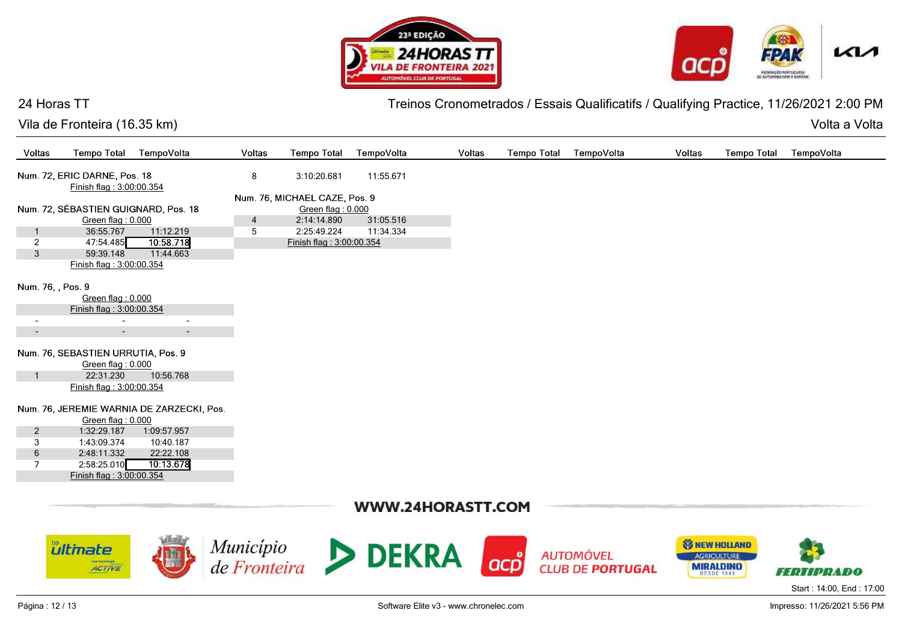![](_page_11_Picture_1.jpeg)

![](_page_11_Picture_2.jpeg)

Vila de Fronteira (16.35 km)

Treinos Cronometrados / Essais Qualificatifs / Qualifying Practice, 11/26/2021 2:00 PM

Volta a Volta Volta a Volta

| Voltas                   | <b>Tempo Total</b>                                       | TempoVolta                                | Voltas         | <b>Tempo Total</b>            | TempoVolta                            | Voltas | <b>Tempo Total</b> | TempoVolta              | Voltas                | <b>Tempo Total</b> | TempoVolta                   |
|--------------------------|----------------------------------------------------------|-------------------------------------------|----------------|-------------------------------|---------------------------------------|--------|--------------------|-------------------------|-----------------------|--------------------|------------------------------|
|                          | Num. 72, ERIC DARNE, Pos. 18<br>Finish flag: 3:00:00.354 |                                           | 8              | 3:10:20.681                   | 11:55.671                             |        |                    |                         |                       |                    |                              |
|                          |                                                          |                                           |                | Num. 76, MICHAEL CAZE, Pos. 9 |                                       |        |                    |                         |                       |                    |                              |
|                          | Num. 72, SÉBASTIEN GUIGNARD, Pos. 18                     |                                           |                | Green flag: 0.000             |                                       |        |                    |                         |                       |                    |                              |
|                          | Green flag: 0.000                                        |                                           | $\overline{4}$ | 2:14:14.890                   | 31:05.516                             |        |                    |                         |                       |                    |                              |
| $\mathbf{1}$             | 36:55.767                                                | 11:12.219                                 | 5              | 2:25:49.224                   | 11:34.334                             |        |                    |                         |                       |                    |                              |
| 2                        | 47:54.485                                                | 10:58.718                                 |                | Finish flag: 3:00:00.354      |                                       |        |                    |                         |                       |                    |                              |
| $\mathbf{3}$             | 59:39.148                                                | 11:44.663                                 |                |                               |                                       |        |                    |                         |                       |                    |                              |
|                          | Finish flag: 3:00:00.354                                 |                                           |                |                               |                                       |        |                    |                         |                       |                    |                              |
| Num. 76, , Pos. 9        |                                                          |                                           |                |                               |                                       |        |                    |                         |                       |                    |                              |
|                          | Green flag: 0.000                                        |                                           |                |                               |                                       |        |                    |                         |                       |                    |                              |
|                          | Finish flag: 3:00:00.354                                 |                                           |                |                               |                                       |        |                    |                         |                       |                    |                              |
| $\overline{\phantom{a}}$ |                                                          | $\sim$                                    |                |                               |                                       |        |                    |                         |                       |                    |                              |
| $\overline{\phantom{a}}$ | $\sim$                                                   | $\overline{a}$                            |                |                               |                                       |        |                    |                         |                       |                    |                              |
|                          |                                                          |                                           |                |                               |                                       |        |                    |                         |                       |                    |                              |
|                          | Num. 76, SEBASTIEN URRUTIA, Pos. 9                       |                                           |                |                               |                                       |        |                    |                         |                       |                    |                              |
| $\overline{1}$           | Green flag: 0.000<br>22:31.230                           | 10:56.768                                 |                |                               |                                       |        |                    |                         |                       |                    |                              |
|                          | Finish flag: 3:00:00.354                                 |                                           |                |                               |                                       |        |                    |                         |                       |                    |                              |
|                          |                                                          |                                           |                |                               |                                       |        |                    |                         |                       |                    |                              |
|                          | Green flag: 0.000                                        | Num. 76, JEREMIE WARNIA DE ZARZECKI, Pos. |                |                               |                                       |        |                    |                         |                       |                    |                              |
| $\overline{2}$           | 1:32:29.187                                              | 1:09:57.957                               |                |                               |                                       |        |                    |                         |                       |                    |                              |
| 3                        | 1:43:09.374                                              | 10:40.187                                 |                |                               |                                       |        |                    |                         |                       |                    |                              |
| 6                        | 2:48:11.332                                              | 22:22.108                                 |                |                               |                                       |        |                    |                         |                       |                    |                              |
| $\overline{7}$           | 2:58:25.010                                              | 10:13.678                                 |                |                               |                                       |        |                    |                         |                       |                    |                              |
|                          | Finish flag: 3:00:00.354                                 |                                           |                |                               |                                       |        |                    |                         |                       |                    |                              |
|                          |                                                          |                                           |                |                               |                                       |        |                    |                         |                       |                    |                              |
|                          |                                                          |                                           |                |                               | WWW.24HORASTT.COM                     |        |                    |                         |                       |                    |                              |
|                          |                                                          |                                           |                |                               |                                       |        |                    |                         |                       |                    |                              |
|                          | <b><i><u>ultinate</u></i></b>                            |                                           |                |                               | $Municipio$ <b>DEKRA</b>              |        |                    |                         | <b>SI NEW HOLLAND</b> |                    |                              |
|                          | com tecnologi                                            |                                           |                |                               |                                       |        |                    | <b>AUTOMÓVEL</b>        | AGRICULTURE           |                    |                              |
|                          | <b>ACTIVE</b>                                            |                                           |                |                               |                                       |        |                    | <b>CLUB DE PORTUGAL</b> | <b>MIRALDINO</b>      |                    | <b>FERTIPRADO</b>            |
|                          |                                                          |                                           |                |                               |                                       |        |                    |                         |                       |                    |                              |
|                          |                                                          |                                           |                |                               |                                       |        |                    |                         |                       |                    | Start: 14:00, End: 17:00     |
| Página: 12 / 13          |                                                          |                                           |                |                               | Software Elite v3 - www.chronelec.com |        |                    |                         |                       |                    | Impresso: 11/26/2021 5:56 PM |